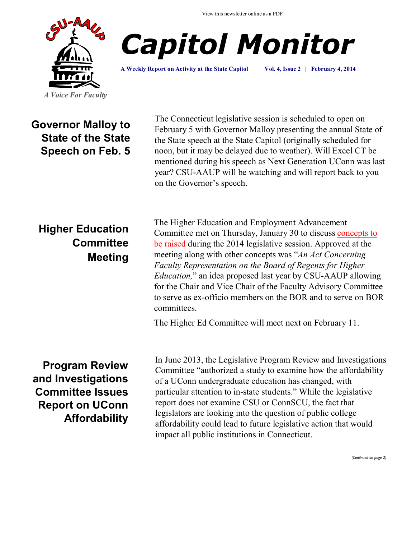View this newsletter online as a PDF





**A Weekly Report on Activity at the State Capitol Vol. 4, Issue 2 | February 4, 2014**

**Governor Malloy to State of the State Speech on Feb. 5**

The Connecticut legislative session is scheduled to open on February 5 with Governor Malloy presenting the annual State of the State speech at the State Capitol (originally scheduled for noon, but it may be delayed due to weather). Will Excel CT be mentioned during his speech as Next Generation UConn was last year? CSU-AAUP will be watching and will report back to you on the Governor's speech.

## **Higher Education Committee Meeting**

The Higher Education and Employment Advancement Committee met on Thursday, January 30 to discuss [concepts to](http://www.cga.ct.gov/2014/HEDdata/ca/2014CA-00130-R001030HED-CA.htm)  [be raised](http://www.cga.ct.gov/2014/HEDdata/ca/2014CA-00130-R001030HED-CA.htm) during the 2014 legislative session. Approved at the meeting along with other concepts was "*An Act Concerning Faculty Representation on the Board of Regents for Higher Education,*" an idea proposed last year by CSU-AAUP allowing for the Chair and Vice Chair of the Faculty Advisory Committee to serve as ex-officio members on the BOR and to serve on BOR committees.

The Higher Ed Committee will meet next on February 11.

**Program Review and Investigations Committee Issues Report on UConn Affordability** In June 2013, the Legislative Program Review and Investigations Committee "authorized a study to examine how the affordability of a UConn undergraduate education has changed, with particular attention to in-state students." While the legislative report does not examine CSU or ConnSCU, the fact that legislators are looking into the question of public college affordability could lead to future legislative action that would impact all public institutions in Connecticut.

*(Continued on page 2)*